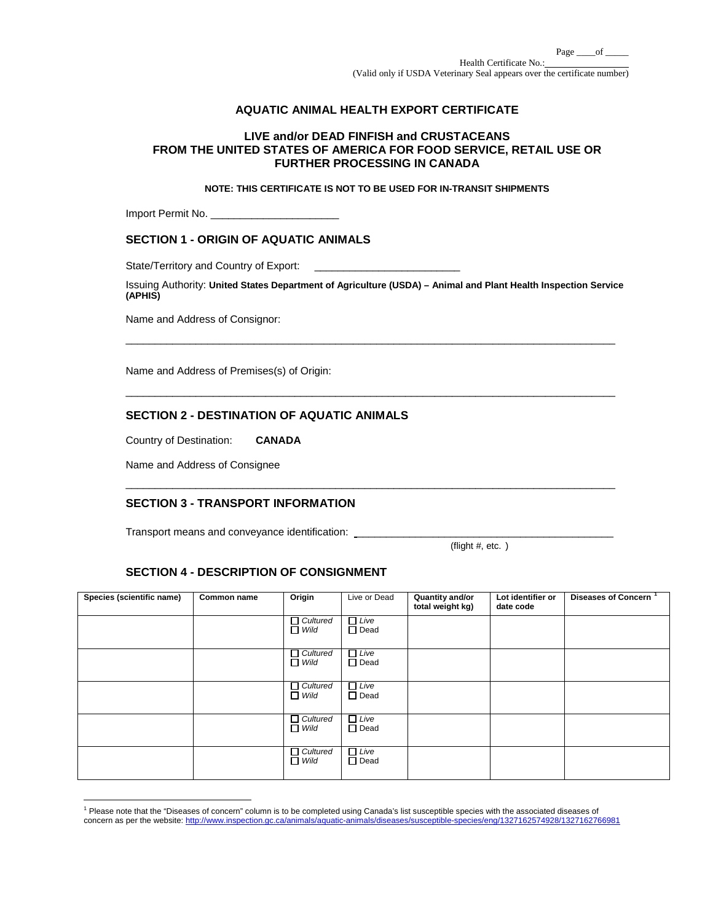# **AQUATIC ANIMAL HEALTH EXPORT CERTIFICATE**

## **LIVE and/or DEAD FINFISH and CRUSTACEANS FROM THE UNITED STATES OF AMERICA FOR FOOD SERVICE, RETAIL USE OR FURTHER PROCESSING IN CANADA**

### **NOTE: THIS CERTIFICATE IS NOT TO BE USED FOR IN-TRANSIT SHIPMENTS**

Import Permit No. \_\_\_\_\_\_\_\_\_\_\_\_\_\_\_\_\_\_\_\_\_\_

### **SECTION 1 - ORIGIN OF AQUATIC ANIMALS**

State/Territory and Country of Export:

Issuing Authority: **United States Department of Agriculture (USDA) – Animal and Plant Health Inspection Service (APHIS)**

\_\_\_\_\_\_\_\_\_\_\_\_\_\_\_\_\_\_\_\_\_\_\_\_\_\_\_\_\_\_\_\_\_\_\_\_\_\_\_\_\_\_\_\_\_\_\_\_\_\_\_\_\_\_\_\_\_\_\_\_\_\_\_\_\_\_\_\_\_\_\_\_\_\_\_\_\_\_\_\_\_\_\_\_

 $\Box$ 

 $\overline{\phantom{a}}$  ,  $\overline{\phantom{a}}$  ,  $\overline{\phantom{a}}$  ,  $\overline{\phantom{a}}$  ,  $\overline{\phantom{a}}$  ,  $\overline{\phantom{a}}$  ,  $\overline{\phantom{a}}$  ,  $\overline{\phantom{a}}$  ,  $\overline{\phantom{a}}$  ,  $\overline{\phantom{a}}$  ,  $\overline{\phantom{a}}$  ,  $\overline{\phantom{a}}$  ,  $\overline{\phantom{a}}$  ,  $\overline{\phantom{a}}$  ,  $\overline{\phantom{a}}$  ,  $\overline{\phantom{a}}$ 

Name and Address of Consignor:

Name and Address of Premises(s) of Origin:

## **SECTION 2 - DESTINATION OF AQUATIC ANIMALS**

Country of Destination: **CANADA**

Name and Address of Consignee

# **SECTION 3 - TRANSPORT INFORMATION**

Transport means and conveyance identification: \_\_

(flight  $#$ , etc.)

## **SECTION 4 - DESCRIPTION OF CONSIGNMENT**

| Species (scientific name) | Common name | Origin                         | Live or Dead               | Quantity and/or<br>total weight kg) | Lot identifier or<br>date code | <b>Diseases of Concern</b> |
|---------------------------|-------------|--------------------------------|----------------------------|-------------------------------------|--------------------------------|----------------------------|
|                           |             | $\Box$ Cultured<br>$\Box$ Wild | $\Box$ Live<br>$\Box$ Dead |                                     |                                |                            |
|                           |             | $\Box$ Cultured<br>$\Box$ Wild | $\Box$ Live<br>$\Box$ Dead |                                     |                                |                            |
|                           |             | $\Box$ Cultured<br>$\Box$ Wild | $\Box$ Live<br>$\Box$ Dead |                                     |                                |                            |
|                           |             | $\Box$ Cultured<br>$\Box$ Wild | $\Box$ Live<br>$\Box$ Dead |                                     |                                |                            |
|                           |             | $\Box$ Cultured<br>$\Box$ Wild | $\Box$ Live<br>$\Box$ Dead |                                     |                                |                            |

<span id="page-0-0"></span><sup>&</sup>lt;sup>1</sup> Please note that the "Diseases of concern" column is to be completed using Canada's list susceptible species with the associated diseases of concern as per the website[: http://www.inspection.gc.ca/animals/aquatic-animals/diseases/susceptible-species/eng/1327162574928/1327162766981](http://www.inspection.gc.ca/animals/aquatic-animals/diseases/susceptible-species/eng/1327162574928/1327162766981)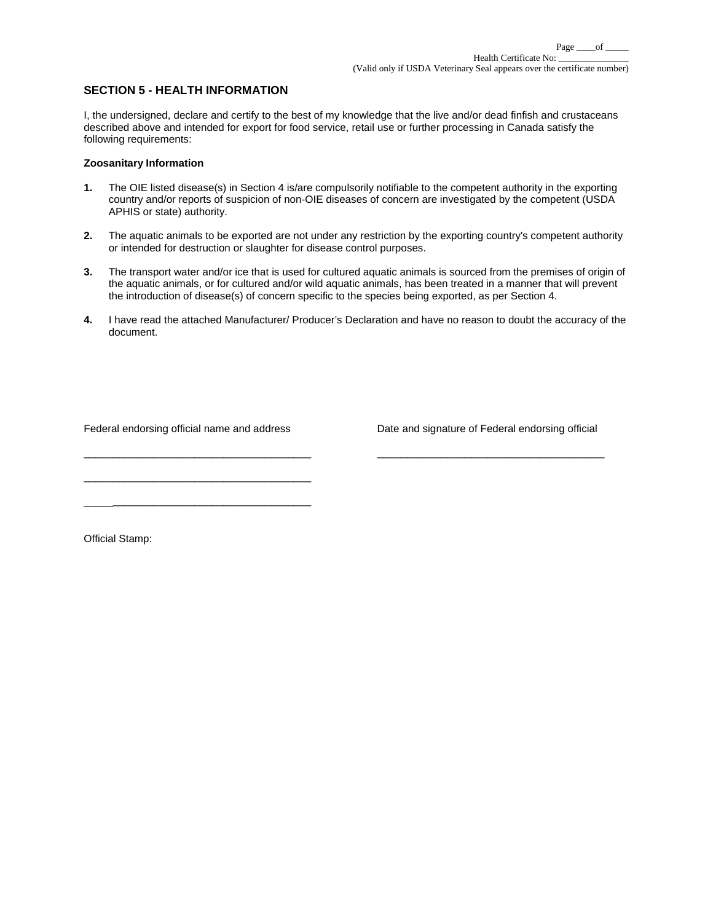# **SECTION 5 - HEALTH INFORMATION**

I, the undersigned, declare and certify to the best of my knowledge that the live and/or dead finfish and crustaceans described above and intended for export for food service, retail use or further processing in Canada satisfy the following requirements:

### **Zoosanitary Information**

- **1.** The OIE listed disease(s) in Section 4 is/are compulsorily notifiable to the competent authority in the exporting country and/or reports of suspicion of non-OIE diseases of concern are investigated by the competent (USDA APHIS or state) authority.
- **2.** The aquatic animals to be exported are not under any restriction by the exporting country's competent authority or intended for destruction or slaughter for disease control purposes.
- **3.** The transport water and/or ice that is used for cultured aquatic animals is sourced from the premises of origin of the aquatic animals, or for cultured and/or wild aquatic animals, has been treated in a manner that will prevent the introduction of disease(s) of concern specific to the species being exported, as per Section 4.
- **4.** I have read the attached Manufacturer/ Producer's Declaration and have no reason to doubt the accuracy of the document.

\_\_\_\_\_\_\_\_\_\_\_\_\_\_\_\_\_\_\_\_\_\_\_\_\_\_\_\_\_\_\_\_\_\_\_\_\_\_\_ \_\_\_\_\_\_\_\_\_\_\_\_\_\_\_\_\_\_\_\_\_\_\_\_\_\_\_\_\_\_\_\_\_\_\_\_\_\_\_

\_\_\_\_\_\_\_\_\_\_\_\_\_\_\_\_\_\_\_\_\_\_\_\_\_\_\_\_\_\_\_\_\_\_\_\_\_\_\_

\_\_\_\_\_\_\_\_\_\_\_\_\_\_\_\_\_\_\_\_\_\_\_\_\_\_\_\_\_\_\_\_\_\_\_\_\_\_\_

Federal endorsing official name and address Date and signature of Federal endorsing official

Official Stamp: